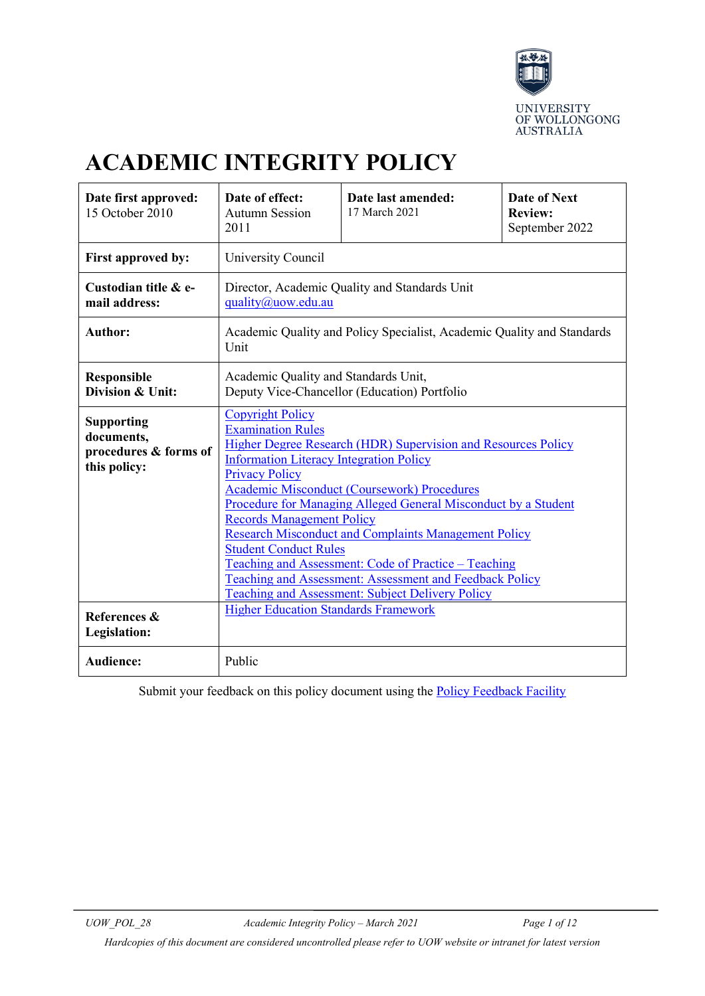

# **ACADEMIC INTEGRITY POLICY**

| Date first approved:<br>15 October 2010                                  | Date of effect:<br><b>Autumn Session</b><br>2011                                                                                                                                                                                                                                                                                                                                                                                                                                                                                                                                                                                         | Date last amended:<br>17 March 2021 | <b>Date of Next</b><br><b>Review:</b><br>September 2022 |
|--------------------------------------------------------------------------|------------------------------------------------------------------------------------------------------------------------------------------------------------------------------------------------------------------------------------------------------------------------------------------------------------------------------------------------------------------------------------------------------------------------------------------------------------------------------------------------------------------------------------------------------------------------------------------------------------------------------------------|-------------------------------------|---------------------------------------------------------|
| First approved by:                                                       | University Council                                                                                                                                                                                                                                                                                                                                                                                                                                                                                                                                                                                                                       |                                     |                                                         |
| Custodian title & e-<br>mail address:                                    | Director, Academic Quality and Standards Unit<br>quality@uow.edu.au                                                                                                                                                                                                                                                                                                                                                                                                                                                                                                                                                                      |                                     |                                                         |
| <b>Author:</b>                                                           | Academic Quality and Policy Specialist, Academic Quality and Standards<br>Unit                                                                                                                                                                                                                                                                                                                                                                                                                                                                                                                                                           |                                     |                                                         |
| <b>Responsible</b><br>Division & Unit:                                   | Academic Quality and Standards Unit,<br>Deputy Vice-Chancellor (Education) Portfolio                                                                                                                                                                                                                                                                                                                                                                                                                                                                                                                                                     |                                     |                                                         |
| <b>Supporting</b><br>documents,<br>procedures & forms of<br>this policy: | <b>Copyright Policy</b><br><b>Examination Rules</b><br>Higher Degree Research (HDR) Supervision and Resources Policy<br><b>Information Literacy Integration Policy</b><br><b>Privacy Policy</b><br><b>Academic Misconduct (Coursework) Procedures</b><br>Procedure for Managing Alleged General Misconduct by a Student<br><b>Records Management Policy</b><br><b>Research Misconduct and Complaints Management Policy</b><br><b>Student Conduct Rules</b><br>Teaching and Assessment: Code of Practice – Teaching<br>Teaching and Assessment: Assessment and Feedback Policy<br><b>Teaching and Assessment: Subject Delivery Policy</b> |                                     |                                                         |
| References &<br>Legislation:                                             | <b>Higher Education Standards Framework</b>                                                                                                                                                                                                                                                                                                                                                                                                                                                                                                                                                                                              |                                     |                                                         |
| <b>Audience:</b>                                                         | Public                                                                                                                                                                                                                                                                                                                                                                                                                                                                                                                                                                                                                                   |                                     |                                                         |

Submit your feedback on this policy document using the [Policy Feedback Facility](http://www.uow.edu.au/about/policy/feedback/index.html)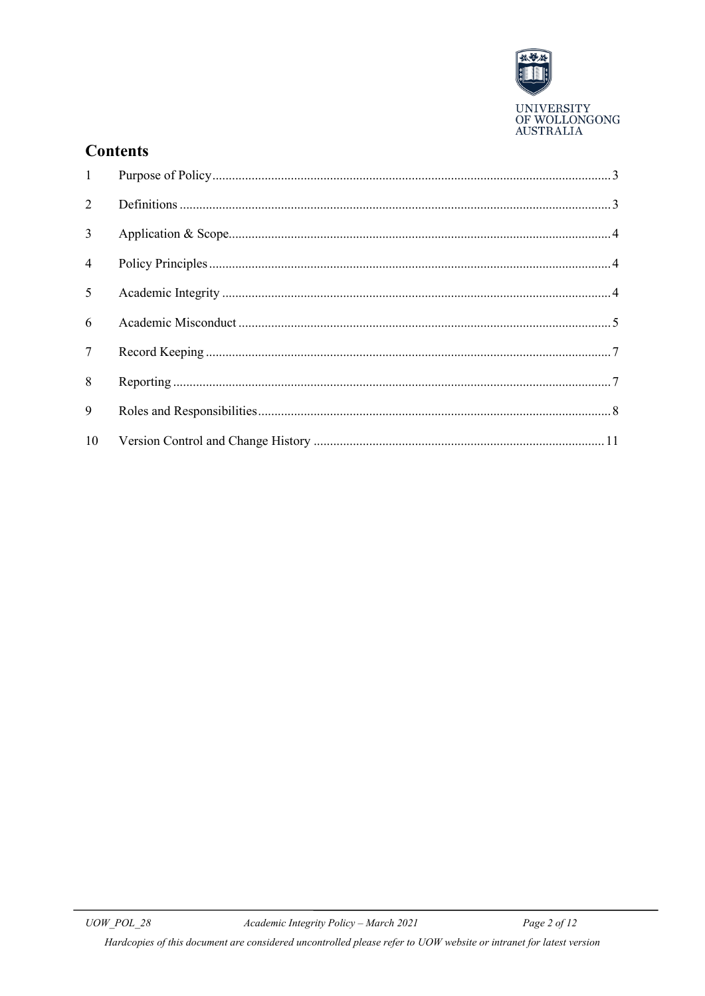

# **Contents**

| 1               |  |
|-----------------|--|
| $\overline{2}$  |  |
| $\overline{3}$  |  |
| $\overline{4}$  |  |
| $5^{\circ}$     |  |
| 6               |  |
| $7\overline{ }$ |  |
| 8               |  |
| 9               |  |
| 10              |  |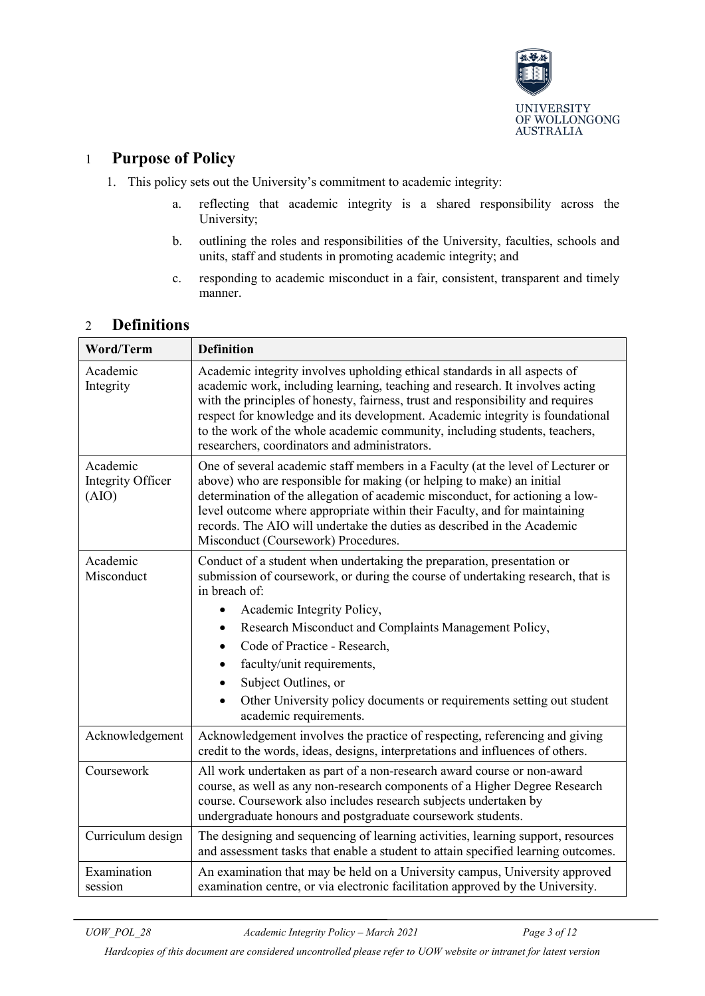

### <span id="page-2-0"></span>1 **Purpose of Policy**

- 1. This policy sets out the University's commitment to academic integrity:
	- a. reflecting that academic integrity is a shared responsibility across the University;
	- b. outlining the roles and responsibilities of the University, faculties, schools and units, staff and students in promoting academic integrity; and
	- c. responding to academic misconduct in a fair, consistent, transparent and timely manner.

### <span id="page-2-1"></span>2 **Definitions**

| <b>Word/Term</b>                       | <b>Definition</b>                                                                                                                                                                                                                                                                                                                                                                                                                                            |  |
|----------------------------------------|--------------------------------------------------------------------------------------------------------------------------------------------------------------------------------------------------------------------------------------------------------------------------------------------------------------------------------------------------------------------------------------------------------------------------------------------------------------|--|
| Academic<br>Integrity                  | Academic integrity involves upholding ethical standards in all aspects of<br>academic work, including learning, teaching and research. It involves acting<br>with the principles of honesty, fairness, trust and responsibility and requires<br>respect for knowledge and its development. Academic integrity is foundational<br>to the work of the whole academic community, including students, teachers,<br>researchers, coordinators and administrators. |  |
| Academic<br>Integrity Officer<br>(AIO) | One of several academic staff members in a Faculty (at the level of Lecturer or<br>above) who are responsible for making (or helping to make) an initial<br>determination of the allegation of academic misconduct, for actioning a low-<br>level outcome where appropriate within their Faculty, and for maintaining<br>records. The AIO will undertake the duties as described in the Academic<br>Misconduct (Coursework) Procedures.                      |  |
| Academic<br>Misconduct                 | Conduct of a student when undertaking the preparation, presentation or<br>submission of coursework, or during the course of undertaking research, that is<br>in breach of:                                                                                                                                                                                                                                                                                   |  |
|                                        | Academic Integrity Policy,                                                                                                                                                                                                                                                                                                                                                                                                                                   |  |
|                                        | Research Misconduct and Complaints Management Policy,<br>$\bullet$                                                                                                                                                                                                                                                                                                                                                                                           |  |
|                                        | Code of Practice - Research,                                                                                                                                                                                                                                                                                                                                                                                                                                 |  |
|                                        | faculty/unit requirements,                                                                                                                                                                                                                                                                                                                                                                                                                                   |  |
|                                        | Subject Outlines, or                                                                                                                                                                                                                                                                                                                                                                                                                                         |  |
|                                        | Other University policy documents or requirements setting out student<br>academic requirements.                                                                                                                                                                                                                                                                                                                                                              |  |
| Acknowledgement                        | Acknowledgement involves the practice of respecting, referencing and giving<br>credit to the words, ideas, designs, interpretations and influences of others.                                                                                                                                                                                                                                                                                                |  |
| Coursework                             | All work undertaken as part of a non-research award course or non-award<br>course, as well as any non-research components of a Higher Degree Research<br>course. Coursework also includes research subjects undertaken by<br>undergraduate honours and postgraduate coursework students.                                                                                                                                                                     |  |
| Curriculum design                      | The designing and sequencing of learning activities, learning support, resources<br>and assessment tasks that enable a student to attain specified learning outcomes.                                                                                                                                                                                                                                                                                        |  |
| Examination<br>session                 | An examination that may be held on a University campus, University approved<br>examination centre, or via electronic facilitation approved by the University.                                                                                                                                                                                                                                                                                                |  |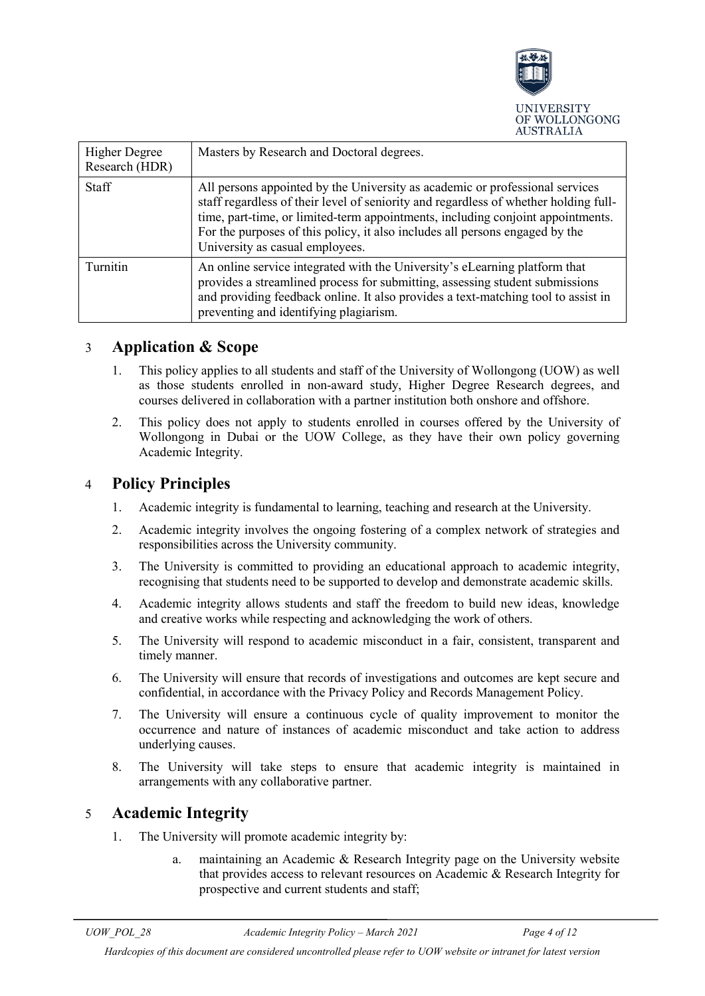

| <b>Higher Degree</b><br>Research (HDR) | Masters by Research and Doctoral degrees.                                                                                                                                                                                                                                                                                                                                  |
|----------------------------------------|----------------------------------------------------------------------------------------------------------------------------------------------------------------------------------------------------------------------------------------------------------------------------------------------------------------------------------------------------------------------------|
| Staff                                  | All persons appointed by the University as academic or professional services<br>staff regardless of their level of seniority and regardless of whether holding full-<br>time, part-time, or limited-term appointments, including conjoint appointments.<br>For the purposes of this policy, it also includes all persons engaged by the<br>University as casual employees. |
| Turnitin                               | An online service integrated with the University's eLearning platform that<br>provides a streamlined process for submitting, assessing student submissions<br>and providing feedback online. It also provides a text-matching tool to assist in<br>preventing and identifying plagiarism.                                                                                  |

### <span id="page-3-0"></span>3 **Application & Scope**

- 1. This policy applies to all students and staff of the University of Wollongong (UOW) as well as those students enrolled in non-award study, Higher Degree Research degrees, and courses delivered in collaboration with a partner institution both onshore and offshore.
- 2. This policy does not apply to students enrolled in courses offered by the University of Wollongong in Dubai or the UOW College, as they have their own policy governing Academic Integrity.

# <span id="page-3-1"></span>4 **Policy Principles**

- 1. Academic integrity is fundamental to learning, teaching and research at the University.
- 2. Academic integrity involves the ongoing fostering of a complex network of strategies and responsibilities across the University community.
- 3. The University is committed to providing an educational approach to academic integrity, recognising that students need to be supported to develop and demonstrate academic skills.
- 4. Academic integrity allows students and staff the freedom to build new ideas, knowledge and creative works while respecting and acknowledging the work of others.
- 5. The University will respond to academic misconduct in a fair, consistent, transparent and timely manner.
- 6. The University will ensure that records of investigations and outcomes are kept secure and confidential, in accordance with the Privacy Policy and Records Management Policy.
- 7. The University will ensure a continuous cycle of quality improvement to monitor the occurrence and nature of instances of academic misconduct and take action to address underlying causes.
- 8. The University will take steps to ensure that academic integrity is maintained in arrangements with any collaborative partner.

### <span id="page-3-2"></span>5 **Academic Integrity**

- 1. The University will promote academic integrity by:
	- a. maintaining an Academic & Research Integrity page on the University website that provides access to relevant resources on Academic & Research Integrity for prospective and current students and staff;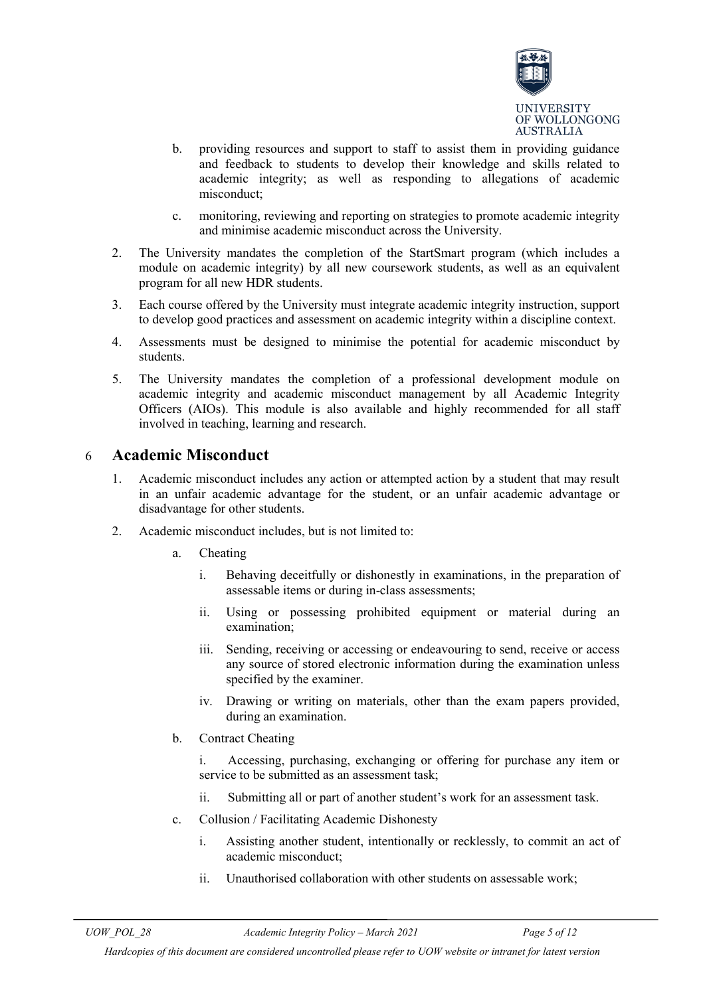

- b. providing resources and support to staff to assist them in providing guidance and feedback to students to develop their knowledge and skills related to academic integrity; as well as responding to allegations of academic misconduct;
- c. monitoring, reviewing and reporting on strategies to promote academic integrity and minimise academic misconduct across the University.
- 2. The University mandates the completion of the StartSmart program (which includes a module on academic integrity) by all new coursework students, as well as an equivalent program for all new HDR students.
- 3. Each course offered by the University must integrate academic integrity instruction, support to develop good practices and assessment on academic integrity within a discipline context.
- 4. Assessments must be designed to minimise the potential for academic misconduct by students.
- 5. The University mandates the completion of a professional development module on academic integrity and academic misconduct management by all Academic Integrity Officers (AIOs). This module is also available and highly recommended for all staff involved in teaching, learning and research.

### <span id="page-4-0"></span>6 **Academic Misconduct**

- 1. Academic misconduct includes any action or attempted action by a student that may result in an unfair academic advantage for the student, or an unfair academic advantage or disadvantage for other students.
- 2. Academic misconduct includes, but is not limited to:
	- a. Cheating
		- i. Behaving deceitfully or dishonestly in examinations, in the preparation of assessable items or during in-class assessments;
		- ii. Using or possessing prohibited equipment or material during an examination;
		- iii. Sending, receiving or accessing or endeavouring to send, receive or access any source of stored electronic information during the examination unless specified by the examiner.
		- iv. Drawing or writing on materials, other than the exam papers provided, during an examination.
	- b. Contract Cheating

i. Accessing, purchasing, exchanging or offering for purchase any item or service to be submitted as an assessment task;

- ii. Submitting all or part of another student's work for an assessment task.
- c. Collusion / Facilitating Academic Dishonesty
	- i. Assisting another student, intentionally or recklessly, to commit an act of academic misconduct;
	- ii. Unauthorised collaboration with other students on assessable work;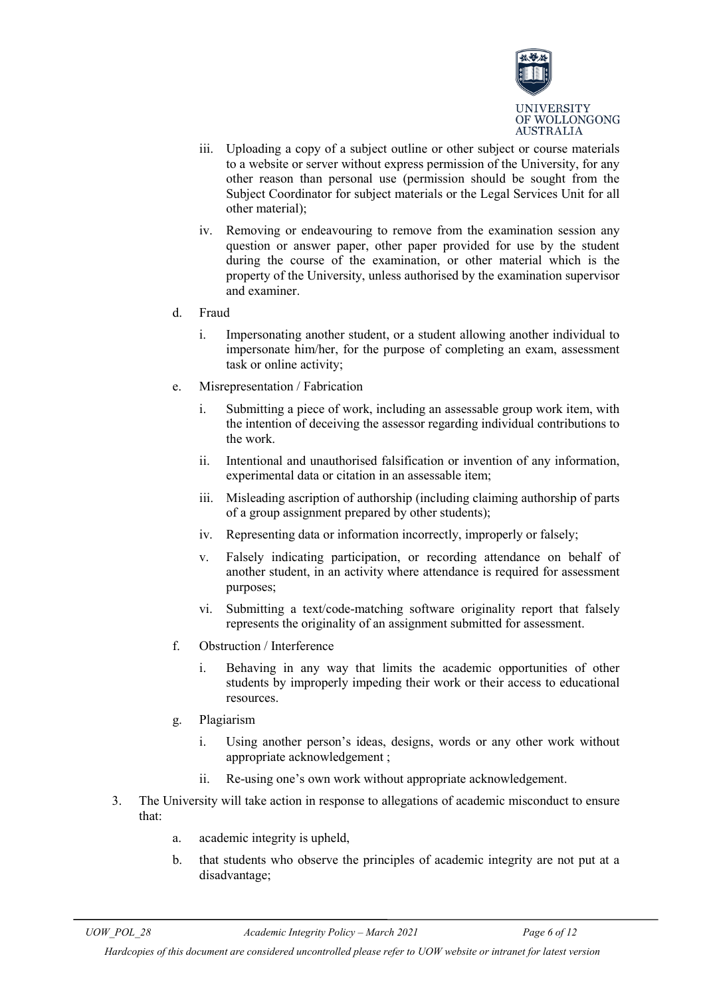

- iii. Uploading a copy of a subject outline or other subject or course materials to a website or server without express permission of the University, for any other reason than personal use (permission should be sought from the Subject Coordinator for subject materials or the Legal Services Unit for all other material);
- iv. Removing or endeavouring to remove from the examination session any question or answer paper, other paper provided for use by the student during the course of the examination, or other material which is the property of the University, unless authorised by the examination supervisor and examiner.

#### d. Fraud

- i. Impersonating another student, or a student allowing another individual to impersonate him/her, for the purpose of completing an exam, assessment task or online activity;
- e. Misrepresentation / Fabrication
	- i. Submitting a piece of work, including an assessable group work item, with the intention of deceiving the assessor regarding individual contributions to the work.
	- ii. Intentional and unauthorised falsification or invention of any information, experimental data or citation in an assessable item;
	- iii. Misleading ascription of authorship (including claiming authorship of parts of a group assignment prepared by other students);
	- iv. Representing data or information incorrectly, improperly or falsely;
	- v. Falsely indicating participation, or recording attendance on behalf of another student, in an activity where attendance is required for assessment purposes;
	- vi. Submitting a text/code-matching software originality report that falsely represents the originality of an assignment submitted for assessment.
- f. Obstruction / Interference
	- i. Behaving in any way that limits the academic opportunities of other students by improperly impeding their work or their access to educational resources.
- g. Plagiarism
	- i. Using another person's ideas, designs, words or any other work without appropriate acknowledgement ;
	- ii. Re-using one's own work without appropriate acknowledgement.
- 3. The University will take action in response to allegations of academic misconduct to ensure that:
	- a. academic integrity is upheld,
	- b. that students who observe the principles of academic integrity are not put at a disadvantage;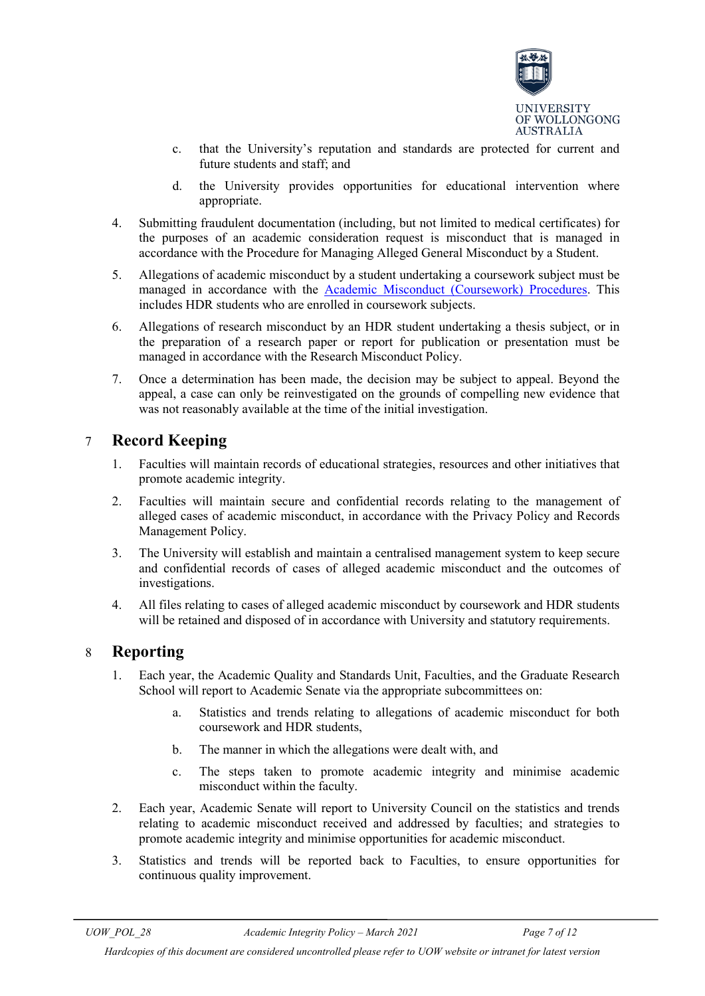

- c. that the University's reputation and standards are protected for current and future students and staff; and
- d. the University provides opportunities for educational intervention where appropriate.
- 4. Submitting fraudulent documentation (including, but not limited to medical certificates) for the purposes of an academic consideration request is misconduct that is managed in accordance with the [Procedure for Managing Alleged General Misconduct by a Student.](http://www.uow.edu.au/about/policy/rules/ssLINK/3426/UOW058636)
- 5. Allegations of academic misconduct by a student undertaking a coursework subject must be managed in accordance with the **Academic Misconduct (Coursework) Procedures**. This includes HDR students who are enrolled in coursework subjects.
- 6. Allegations of research misconduct by an HDR student undertaking a thesis subject, or in the preparation of a research paper or report for publication or presentation must be managed in accordance with the [Research Misconduct Policy.](http://www.uow.edu.au/about/policy/UOW058715.html)
- 7. Once a determination has been made, the decision may be subject to appeal. Beyond the appeal, a case can only be reinvestigated on the grounds of compelling new evidence that was not reasonably available at the time of the initial investigation.

### <span id="page-6-0"></span>7 **Record Keeping**

- 1. Faculties will maintain records of educational strategies, resources and other initiatives that promote academic integrity.
- 2. Faculties will maintain secure and confidential records relating to the management of alleged cases of academic misconduct, in accordance with the [Privacy Policy](http://www.uow.edu.au/about/policy/alphalisting/ssLINK/UOW038289) and [Records](http://www.uow.edu.au/about/policy/alphalisting/ssLINK/UOW039584)  [Management Policy.](http://www.uow.edu.au/about/policy/alphalisting/ssLINK/UOW039584)
- 3. The University will establish and maintain a centralised management system to keep secure and confidential records of cases of alleged academic misconduct and the outcomes of investigations.
- 4. All files relating to cases of alleged academic misconduct by coursework and HDR students will be retained and disposed of in accordance with University and statutory requirements.

### <span id="page-6-1"></span>8 **Reporting**

- 1. Each year, the Academic Quality and Standards Unit, Faculties, and the Graduate Research School will report to Academic Senate via the appropriate subcommittees on:
	- a. Statistics and trends relating to allegations of academic misconduct for both coursework and HDR students,
	- b. The manner in which the allegations were dealt with, and
	- c. The steps taken to promote academic integrity and minimise academic misconduct within the faculty.
- 2. Each year, Academic Senate will report to University Council on the statistics and trends relating to academic misconduct received and addressed by faculties; and strategies to promote academic integrity and minimise opportunities for academic misconduct.
- 3. Statistics and trends will be reported back to Faculties, to ensure opportunities for continuous quality improvement.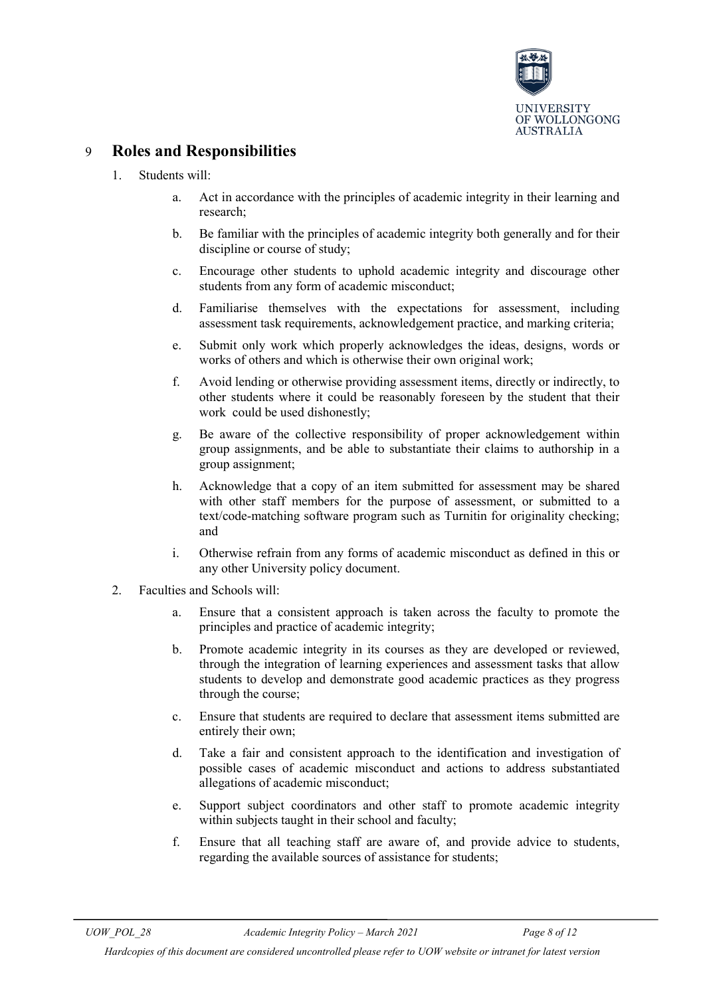

# <span id="page-7-0"></span>9 **Roles and Responsibilities**

- 1. Students will:
	- a. Act in accordance with the principles of academic integrity in their learning and research;
	- b. Be familiar with the principles of academic integrity both generally and for their discipline or course of study;
	- c. Encourage other students to uphold academic integrity and discourage other students from any form of academic misconduct;
	- d. Familiarise themselves with the expectations for assessment, including assessment task requirements, acknowledgement practice, and marking criteria;
	- e. Submit only work which properly acknowledges the ideas, designs, words or works of others and which is otherwise their own original work;
	- f. Avoid lending or otherwise providing assessment items, directly or indirectly, to other students where it could be reasonably foreseen by the student that their work could be used dishonestly;
	- g. Be aware of the collective responsibility of proper acknowledgement within group assignments, and be able to substantiate their claims to authorship in a group assignment;
	- h. Acknowledge that a copy of an item submitted for assessment may be shared with other staff members for the purpose of assessment, or submitted to a text/code-matching software program such as Turnitin for originality checking; and
	- i. Otherwise refrain from any forms of academic misconduct as defined in this or any other University policy document.
- 2. Faculties and Schools will:
	- a. Ensure that a consistent approach is taken across the faculty to promote the principles and practice of academic integrity;
	- b. Promote academic integrity in its courses as they are developed or reviewed, through the integration of learning experiences and assessment tasks that allow students to develop and demonstrate good academic practices as they progress through the course;
	- c. Ensure that students are required to declare that assessment items submitted are entirely their own;
	- d. Take a fair and consistent approach to the identification and investigation of possible cases of academic misconduct and actions to address substantiated allegations of academic misconduct;
	- e. Support subject coordinators and other staff to promote academic integrity within subjects taught in their school and faculty;
	- f. Ensure that all teaching staff are aware of, and provide advice to students, regarding the available sources of assistance for students;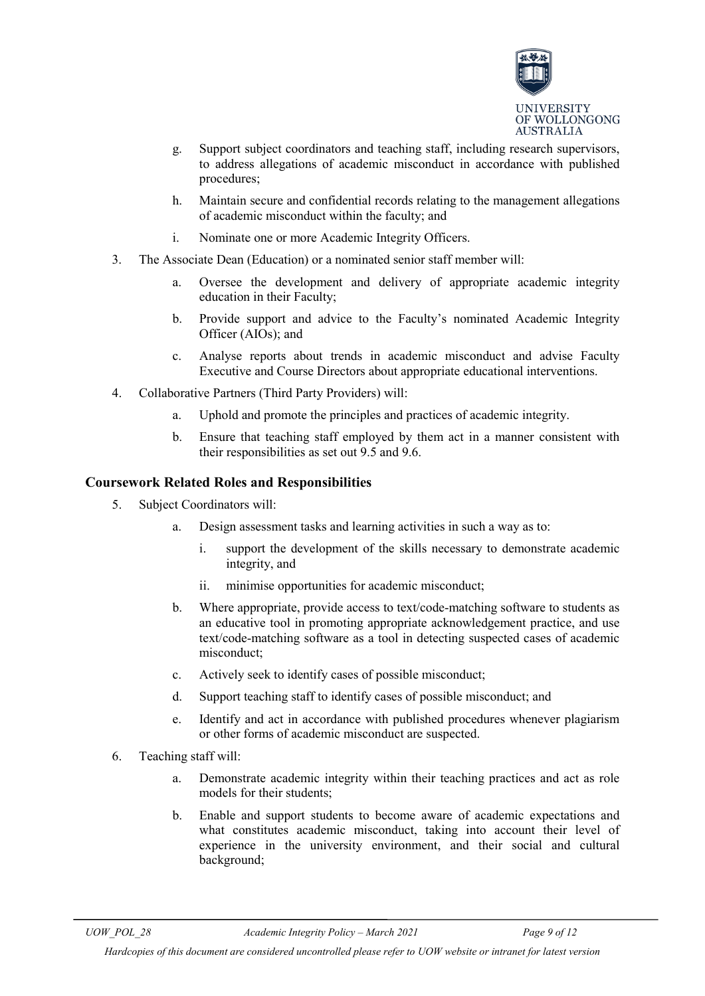

- g. Support subject coordinators and teaching staff, including research supervisors, to address allegations of academic misconduct in accordance with published procedures;
- h. Maintain secure and confidential records relating to the management allegations of academic misconduct within the faculty; and
- i. Nominate one or more Academic Integrity Officers.
- 3. The Associate Dean (Education) or a nominated senior staff member will:
	- a. Oversee the development and delivery of appropriate academic integrity education in their Faculty;
	- b. Provide support and advice to the Faculty's nominated Academic Integrity Officer (AIOs); and
	- c. Analyse reports about trends in academic misconduct and advise Faculty Executive and Course Directors about appropriate educational interventions.
- 4. Collaborative Partners (Third Party Providers) will:
	- a. Uphold and promote the principles and practices of academic integrity.
	- b. Ensure that teaching staff employed by them act in a manner consistent with their responsibilities as set out 9.5 and 9.6.

### **Coursework Related Roles and Responsibilities**

- 5. Subject Coordinators will:
	- a. Design assessment tasks and learning activities in such a way as to:
		- i. support the development of the skills necessary to demonstrate academic integrity, and
		- ii. minimise opportunities for academic misconduct;
	- b. Where appropriate, provide access to text/code-matching software to students as an educative tool in promoting appropriate acknowledgement practice, and use text/code-matching software as a tool in detecting suspected cases of academic misconduct;
	- c. Actively seek to identify cases of possible misconduct;
	- d. Support teaching staff to identify cases of possible misconduct; and
	- e. Identify and act in accordance with published procedures whenever plagiarism or other forms of academic misconduct are suspected.
- 6. Teaching staff will:
	- a. Demonstrate academic integrity within their teaching practices and act as role models for their students;
	- b. Enable and support students to become aware of academic expectations and what constitutes academic misconduct, taking into account their level of experience in the university environment, and their social and cultural background;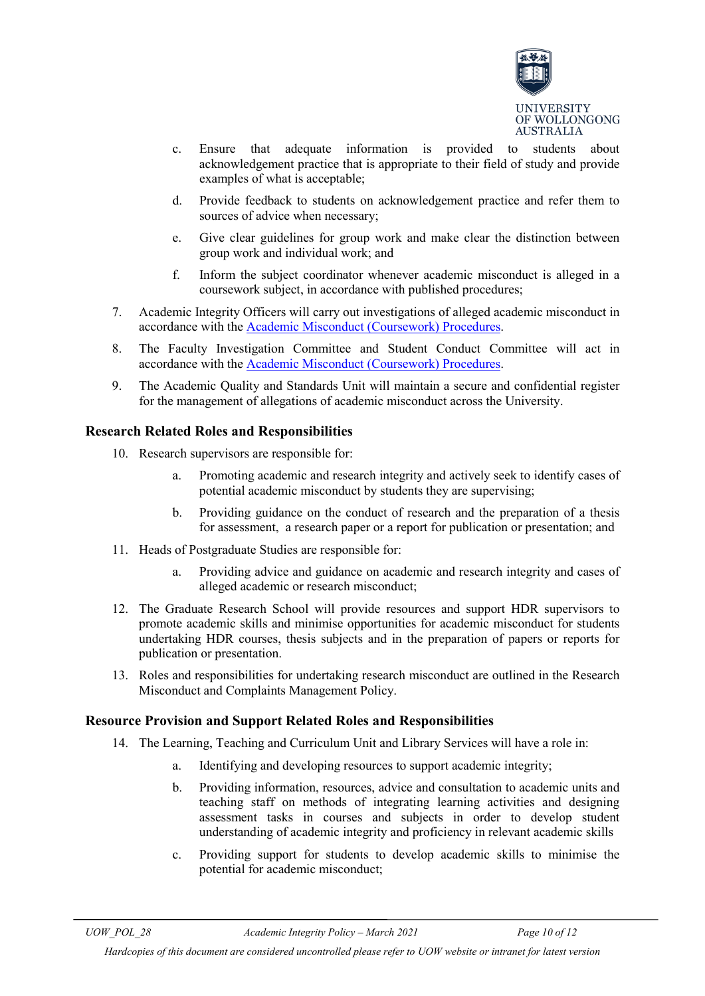

- c. Ensure that adequate information is provided to students about acknowledgement practice that is appropriate to their field of study and provide examples of what is acceptable;
- d. Provide feedback to students on acknowledgement practice and refer them to sources of advice when necessary;
- e. Give clear guidelines for group work and make clear the distinction between group work and individual work; and
- f. Inform the subject coordinator whenever academic misconduct is alleged in a coursework subject, in accordance with published procedures;
- 7. Academic Integrity Officers will carry out investigations of alleged academic misconduct in accordance with the [Academic Misconduct \(Coursework\) Procedures.](http://www.uow.edu.au/about/policy/UOW058635.html)
- 8. The Faculty Investigation Committee and Student Conduct Committee will act in accordance with the [Academic Misconduct \(Coursework\) Procedures.](http://www.uow.edu.au/about/policy/UOW058635.html)
- 9. The Academic Quality and Standards Unit will maintain a secure and confidential register for the management of allegations of academic misconduct across the University.

### **Research Related Roles and Responsibilities**

- 10. Research supervisors are responsible for:
	- a. Promoting academic and research integrity and actively seek to identify cases of potential academic misconduct by students they are supervising;
	- b. Providing guidance on the conduct of research and the preparation of a thesis for assessment, a research paper or a report for publication or presentation; and
- 11. Heads of Postgraduate Studies are responsible for:
	- a. Providing advice and guidance on academic and research integrity and cases of alleged academic or research misconduct;
- 12. The Graduate Research School will provide resources and support HDR supervisors to promote academic skills and minimise opportunities for academic misconduct for students undertaking HDR courses, thesis subjects and in the preparation of papers or reports for publication or presentation.
- 13. Roles and responsibilities for undertaking research misconduct are outlined in the [Research](http://www.uow.edu.au/about/policy/UOW058715.html)  [Misconduct and Complaints Management Policy.](http://www.uow.edu.au/about/policy/UOW058715.html)

#### **Resource Provision and Support Related Roles and Responsibilities**

- 14. The Learning, Teaching and Curriculum Unit and Library Services will have a role in:
	- a. Identifying and developing resources to support academic integrity;
	- b. Providing information, resources, advice and consultation to academic units and teaching staff on methods of integrating learning activities and designing assessment tasks in courses and subjects in order to develop student understanding of academic integrity and proficiency in relevant academic skills
	- c. Providing support for students to develop academic skills to minimise the potential for academic misconduct;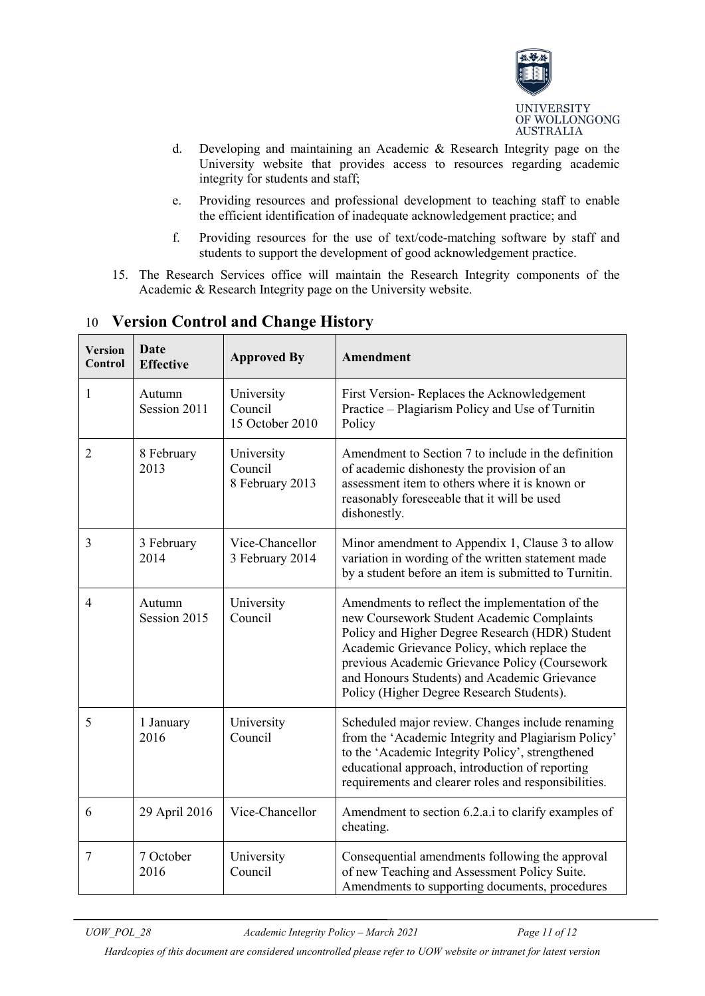

- d. Developing and maintaining an Academic & Research Integrity page on the University website that provides access to resources regarding academic integrity for students and staff;
- e. Providing resources and professional development to teaching staff to enable the efficient identification of inadequate acknowledgement practice; and
- f. Providing resources for the use of text/code-matching software by staff and students to support the development of good acknowledgement practice.
- 15. The Research Services office will maintain the Research Integrity components of the Academic & Research Integrity page on the University website.

| <b>Version</b><br>Control | <b>Date</b><br><b>Effective</b> | <b>Approved By</b>                       | <b>Amendment</b>                                                                                                                                                                                                                                                                                                                                |
|---------------------------|---------------------------------|------------------------------------------|-------------------------------------------------------------------------------------------------------------------------------------------------------------------------------------------------------------------------------------------------------------------------------------------------------------------------------------------------|
| 1                         | Autumn<br>Session 2011          | University<br>Council<br>15 October 2010 | First Version-Replaces the Acknowledgement<br>Practice - Plagiarism Policy and Use of Turnitin<br>Policy                                                                                                                                                                                                                                        |
| $\overline{2}$            | 8 February<br>2013              | University<br>Council<br>8 February 2013 | Amendment to Section 7 to include in the definition<br>of academic dishonesty the provision of an<br>assessment item to others where it is known or<br>reasonably foreseeable that it will be used<br>dishonestly.                                                                                                                              |
| 3                         | 3 February<br>2014              | Vice-Chancellor<br>3 February 2014       | Minor amendment to Appendix 1, Clause 3 to allow<br>variation in wording of the written statement made<br>by a student before an item is submitted to Turnitin.                                                                                                                                                                                 |
| 4                         | Autumn<br>Session 2015          | University<br>Council                    | Amendments to reflect the implementation of the<br>new Coursework Student Academic Complaints<br>Policy and Higher Degree Research (HDR) Student<br>Academic Grievance Policy, which replace the<br>previous Academic Grievance Policy (Coursework<br>and Honours Students) and Academic Grievance<br>Policy (Higher Degree Research Students). |
| 5                         | 1 January<br>2016               | University<br>Council                    | Scheduled major review. Changes include renaming<br>from the 'Academic Integrity and Plagiarism Policy'<br>to the 'Academic Integrity Policy', strengthened<br>educational approach, introduction of reporting<br>requirements and clearer roles and responsibilities.                                                                          |
| 6                         | 29 April 2016                   | Vice-Chancellor                          | Amendment to section 6.2.a.i to clarify examples of<br>cheating.                                                                                                                                                                                                                                                                                |
| 7                         | 7 October<br>2016               | University<br>Council                    | Consequential amendments following the approval<br>of new Teaching and Assessment Policy Suite.<br>Amendments to supporting documents, procedures                                                                                                                                                                                               |

# <span id="page-10-0"></span>10 **Version Control and Change History**